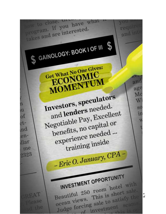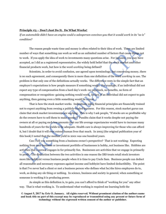## Principle #3 – Don't Just Do It. Do What Works!

If an automobile didn't have an engine could a salesperson convince you that it would work in its "as is" condition?

 The reason people waste time and money is often related to their idea of work. There are limited number of ways that something can work as well as an unlimited number of factors that cause things not to work. If you apply the idea of work to investments many questions arise. For instance, you may have accepted, as I did as a registered representative, the widely held belief that the stock market and other financial products work, but how is the word working being defined?

 Scientists, in order to avoid confusion, use agreed upon terminology, but concerning money, there is no such agreement, and consequently there is more than one definition of the word working in use. The problem is that only one of the definitions actually works. The difference rests in the simple fact that an employer's expectations is how people measure if something works. For example, if an individual did not expect any type of compensation from a hard day's work–no paycheck, no benefits, no form of compensation or recognition–gaining nothing would work. In fact, if an individual did not expect to gain anything, then gaining even a little something would be a treat.

 That is how the stock market works. Individuals using financial principles are financially trained not to expect anything from owning a publicly-traded business. For this reason, stock market gurus can claim that stock market investments are working. This is why I ask people, "If stocks are so profitable why do the owners have to sell them to make money?" Pundits claim that it works despite not paying the owners at all or paying such low amounts that our life average expectancies would have to increase many hundreds of years for the yields to be adequate. Health care is always improving for those who can afford it, but I doubt that it will ever extend human lives that much. In 2005 (the original publication year of this book) I noted that the median yield in 2001 was one hundred years.

 Can I tell you something from a business owner's perspective? That is not working: Expecting nothing from your business or investment portfolio of businesses is hobby, not business like. Hobbies are activities that a person engages in for primarily fun. Businesses are activities that we engage in primarily to profit. The distinction between the two activities is one reason the IRS treats retail stock investors more like hobbyist versus business people when it is time to pay Uncle Sam. Business people can deduct all reasonable and necessary expenses against income and hobbyist have limited deductibility. The point is that I've never had a client or met a business person who defines what he/she hires employees do to, work, as doing any ole thing or nothing. In science, business and society in general, when something or someone is working it is producing power.

 As simple as this definition is, to gain, you can't afford to think of "working for you" any other way. That is what working is. To understand what working is required me learning both the

## © August 5, 2017 by Eric O. January. All rights reserved. Without prominent citation of the authors name and book title no part of this excerpt may be reproduced or transmitted using any present or future form of technology without the expressed written consent of the author or publisher.